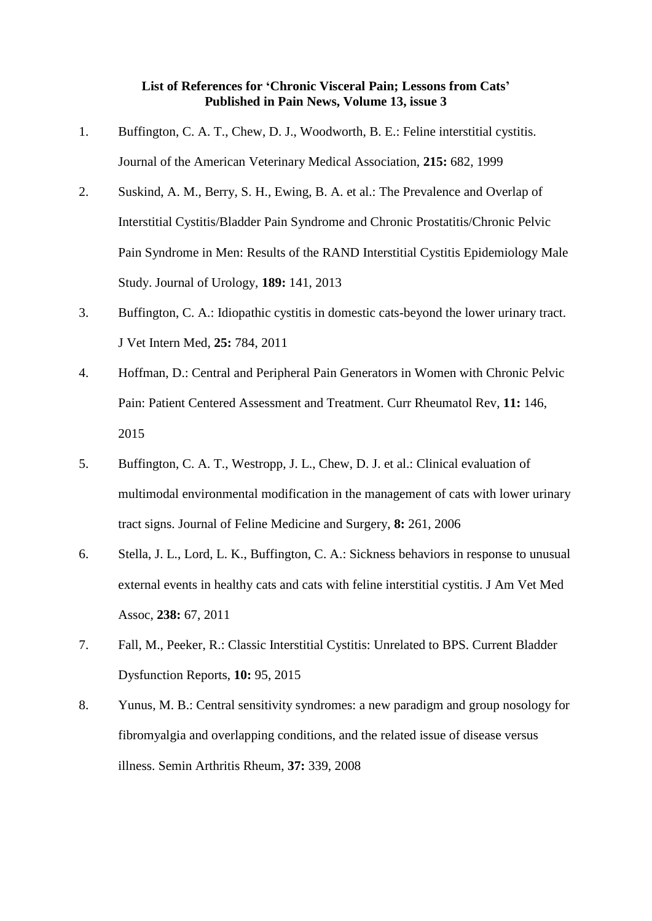## **List of References for 'Chronic Visceral Pain; Lessons from Cats' Published in Pain News, Volume 13, issue 3**

- 1. Buffington, C. A. T., Chew, D. J., Woodworth, B. E.: Feline interstitial cystitis. Journal of the American Veterinary Medical Association, **215:** 682, 1999
- 2. Suskind, A. M., Berry, S. H., Ewing, B. A. et al.: The Prevalence and Overlap of Interstitial Cystitis/Bladder Pain Syndrome and Chronic Prostatitis/Chronic Pelvic Pain Syndrome in Men: Results of the RAND Interstitial Cystitis Epidemiology Male Study. Journal of Urology, **189:** 141, 2013
- 3. Buffington, C. A.: Idiopathic cystitis in domestic cats-beyond the lower urinary tract. J Vet Intern Med, **25:** 784, 2011
- 4. Hoffman, D.: Central and Peripheral Pain Generators in Women with Chronic Pelvic Pain: Patient Centered Assessment and Treatment. Curr Rheumatol Rev, **11:** 146, 2015
- 5. Buffington, C. A. T., Westropp, J. L., Chew, D. J. et al.: Clinical evaluation of multimodal environmental modification in the management of cats with lower urinary tract signs. Journal of Feline Medicine and Surgery, **8:** 261, 2006
- 6. Stella, J. L., Lord, L. K., Buffington, C. A.: Sickness behaviors in response to unusual external events in healthy cats and cats with feline interstitial cystitis. J Am Vet Med Assoc, **238:** 67, 2011
- 7. Fall, M., Peeker, R.: Classic Interstitial Cystitis: Unrelated to BPS. Current Bladder Dysfunction Reports, **10:** 95, 2015
- 8. Yunus, M. B.: Central sensitivity syndromes: a new paradigm and group nosology for fibromyalgia and overlapping conditions, and the related issue of disease versus illness. Semin Arthritis Rheum, **37:** 339, 2008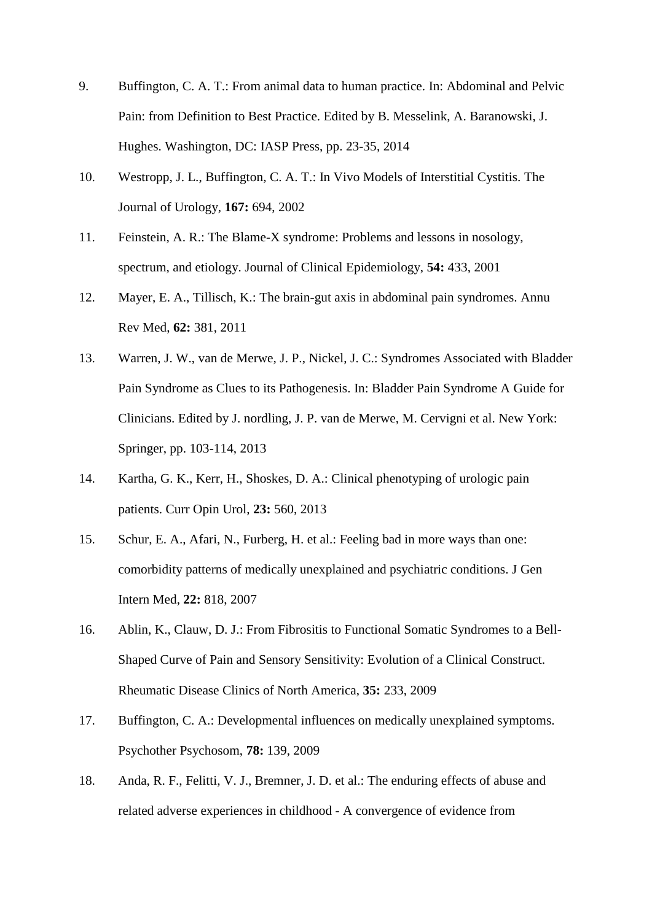- 9. Buffington, C. A. T.: From animal data to human practice. In: Abdominal and Pelvic Pain: from Definition to Best Practice. Edited by B. Messelink, A. Baranowski, J. Hughes. Washington, DC: IASP Press, pp. 23-35, 2014
- 10. Westropp, J. L., Buffington, C. A. T.: In Vivo Models of Interstitial Cystitis. The Journal of Urology, **167:** 694, 2002
- 11. Feinstein, A. R.: The Blame-X syndrome: Problems and lessons in nosology, spectrum, and etiology. Journal of Clinical Epidemiology, **54:** 433, 2001
- 12. Mayer, E. A., Tillisch, K.: The brain-gut axis in abdominal pain syndromes. Annu Rev Med, **62:** 381, 2011
- 13. Warren, J. W., van de Merwe, J. P., Nickel, J. C.: Syndromes Associated with Bladder Pain Syndrome as Clues to its Pathogenesis. In: Bladder Pain Syndrome A Guide for Clinicians. Edited by J. nordling, J. P. van de Merwe, M. Cervigni et al. New York: Springer, pp. 103-114, 2013
- 14. Kartha, G. K., Kerr, H., Shoskes, D. A.: Clinical phenotyping of urologic pain patients. Curr Opin Urol, **23:** 560, 2013
- 15. Schur, E. A., Afari, N., Furberg, H. et al.: Feeling bad in more ways than one: comorbidity patterns of medically unexplained and psychiatric conditions. J Gen Intern Med, **22:** 818, 2007
- 16. Ablin, K., Clauw, D. J.: From Fibrositis to Functional Somatic Syndromes to a Bell-Shaped Curve of Pain and Sensory Sensitivity: Evolution of a Clinical Construct. Rheumatic Disease Clinics of North America, **35:** 233, 2009
- 17. Buffington, C. A.: Developmental influences on medically unexplained symptoms. Psychother Psychosom, **78:** 139, 2009
- 18. Anda, R. F., Felitti, V. J., Bremner, J. D. et al.: The enduring effects of abuse and related adverse experiences in childhood - A convergence of evidence from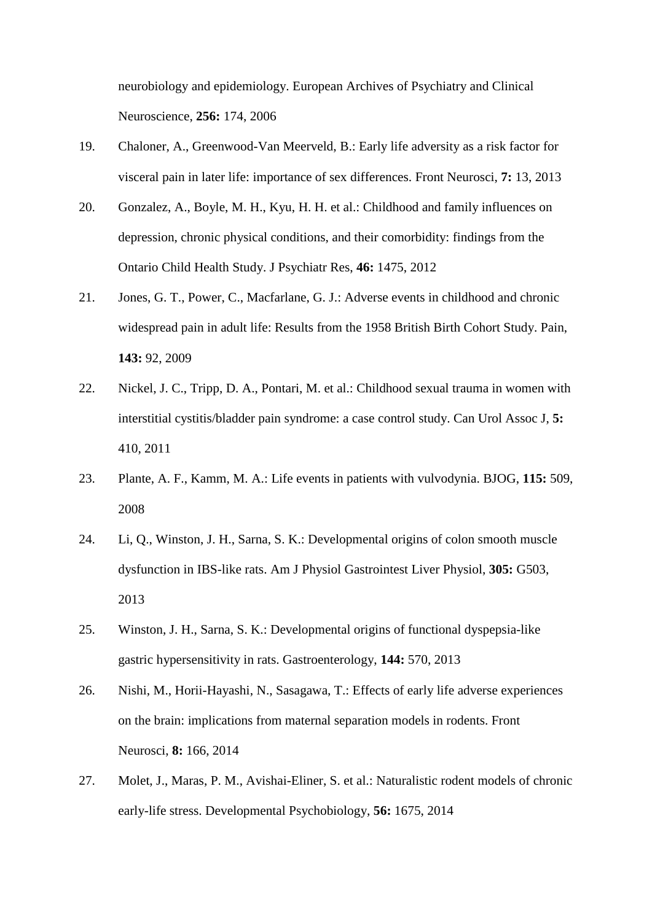neurobiology and epidemiology. European Archives of Psychiatry and Clinical Neuroscience, **256:** 174, 2006

- 19. Chaloner, A., Greenwood-Van Meerveld, B.: Early life adversity as a risk factor for visceral pain in later life: importance of sex differences. Front Neurosci, **7:** 13, 2013
- 20. Gonzalez, A., Boyle, M. H., Kyu, H. H. et al.: Childhood and family influences on depression, chronic physical conditions, and their comorbidity: findings from the Ontario Child Health Study. J Psychiatr Res, **46:** 1475, 2012
- 21. Jones, G. T., Power, C., Macfarlane, G. J.: Adverse events in childhood and chronic widespread pain in adult life: Results from the 1958 British Birth Cohort Study. Pain, **143:** 92, 2009
- 22. Nickel, J. C., Tripp, D. A., Pontari, M. et al.: Childhood sexual trauma in women with interstitial cystitis/bladder pain syndrome: a case control study. Can Urol Assoc J, **5:** 410, 2011
- 23. Plante, A. F., Kamm, M. A.: Life events in patients with vulvodynia. BJOG, **115:** 509, 2008
- 24. Li, Q., Winston, J. H., Sarna, S. K.: Developmental origins of colon smooth muscle dysfunction in IBS-like rats. Am J Physiol Gastrointest Liver Physiol, **305:** G503, 2013
- 25. Winston, J. H., Sarna, S. K.: Developmental origins of functional dyspepsia-like gastric hypersensitivity in rats. Gastroenterology, **144:** 570, 2013
- 26. Nishi, M., Horii-Hayashi, N., Sasagawa, T.: Effects of early life adverse experiences on the brain: implications from maternal separation models in rodents. Front Neurosci, **8:** 166, 2014
- 27. Molet, J., Maras, P. M., Avishai-Eliner, S. et al.: Naturalistic rodent models of chronic early-life stress. Developmental Psychobiology, **56:** 1675, 2014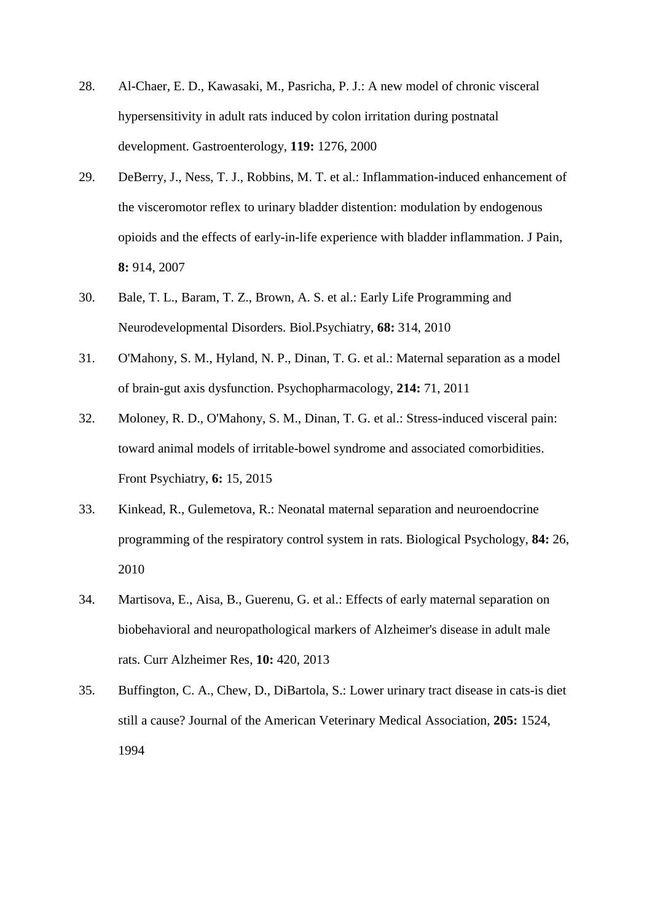- 28. Al-Chaer, E. D., Kawasaki, M., Pasricha, P. J.: A new model of chronic visceral hypersensitivity in adult rats induced by colon irritation during postnatal development. Gastroenterology, **119:** 1276, 2000
- 29. DeBerry, J., Ness, T. J., Robbins, M. T. et al.: Inflammation-induced enhancement of the visceromotor reflex to urinary bladder distention: modulation by endogenous opioids and the effects of early-in-life experience with bladder inflammation. J Pain, **8:** 914, 2007
- 30. Bale, T. L., Baram, T. Z., Brown, A. S. et al.: Early Life Programming and Neurodevelopmental Disorders. Biol.Psychiatry, **68:** 314, 2010
- 31. O'Mahony, S. M., Hyland, N. P., Dinan, T. G. et al.: Maternal separation as a model of brain-gut axis dysfunction. Psychopharmacology, **214:** 71, 2011
- 32. Moloney, R. D., O'Mahony, S. M., Dinan, T. G. et al.: Stress-induced visceral pain: toward animal models of irritable-bowel syndrome and associated comorbidities. Front Psychiatry, **6:** 15, 2015
- 33. Kinkead, R., Gulemetova, R.: Neonatal maternal separation and neuroendocrine programming of the respiratory control system in rats. Biological Psychology, **84:** 26, 2010
- 34. Martisova, E., Aisa, B., Guerenu, G. et al.: Effects of early maternal separation on biobehavioral and neuropathological markers of Alzheimer's disease in adult male rats. Curr Alzheimer Res, **10:** 420, 2013
- 35. Buffington, C. A., Chew, D., DiBartola, S.: Lower urinary tract disease in cats-is diet still a cause? Journal of the American Veterinary Medical Association, **205:** 1524, 1994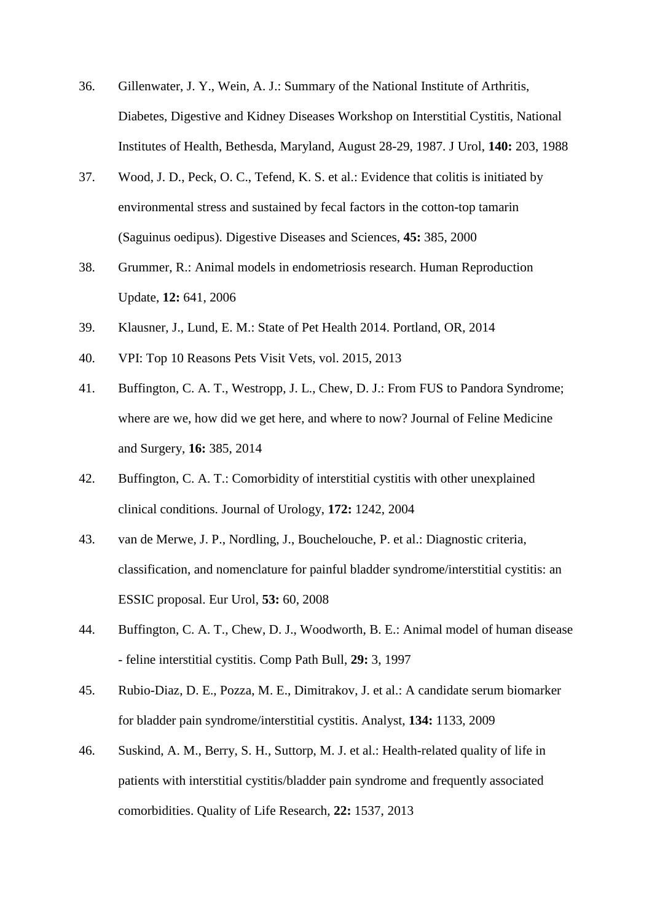- 36. Gillenwater, J. Y., Wein, A. J.: Summary of the National Institute of Arthritis, Diabetes, Digestive and Kidney Diseases Workshop on Interstitial Cystitis, National Institutes of Health, Bethesda, Maryland, August 28-29, 1987. J Urol, **140:** 203, 1988
- 37. Wood, J. D., Peck, O. C., Tefend, K. S. et al.: Evidence that colitis is initiated by environmental stress and sustained by fecal factors in the cotton-top tamarin (Saguinus oedipus). Digestive Diseases and Sciences, **45:** 385, 2000
- 38. Grummer, R.: Animal models in endometriosis research. Human Reproduction Update, **12:** 641, 2006
- 39. Klausner, J., Lund, E. M.: State of Pet Health 2014. Portland, OR, 2014
- 40. VPI: Top 10 Reasons Pets Visit Vets, vol. 2015, 2013
- 41. Buffington, C. A. T., Westropp, J. L., Chew, D. J.: From FUS to Pandora Syndrome; where are we, how did we get here, and where to now? Journal of Feline Medicine and Surgery, **16:** 385, 2014
- 42. Buffington, C. A. T.: Comorbidity of interstitial cystitis with other unexplained clinical conditions. Journal of Urology, **172:** 1242, 2004
- 43. van de Merwe, J. P., Nordling, J., Bouchelouche, P. et al.: Diagnostic criteria, classification, and nomenclature for painful bladder syndrome/interstitial cystitis: an ESSIC proposal. Eur Urol, **53:** 60, 2008
- 44. Buffington, C. A. T., Chew, D. J., Woodworth, B. E.: Animal model of human disease - feline interstitial cystitis. Comp Path Bull, **29:** 3, 1997
- 45. Rubio-Diaz, D. E., Pozza, M. E., Dimitrakov, J. et al.: A candidate serum biomarker for bladder pain syndrome/interstitial cystitis. Analyst, **134:** 1133, 2009
- 46. Suskind, A. M., Berry, S. H., Suttorp, M. J. et al.: Health-related quality of life in patients with interstitial cystitis/bladder pain syndrome and frequently associated comorbidities. Quality of Life Research, **22:** 1537, 2013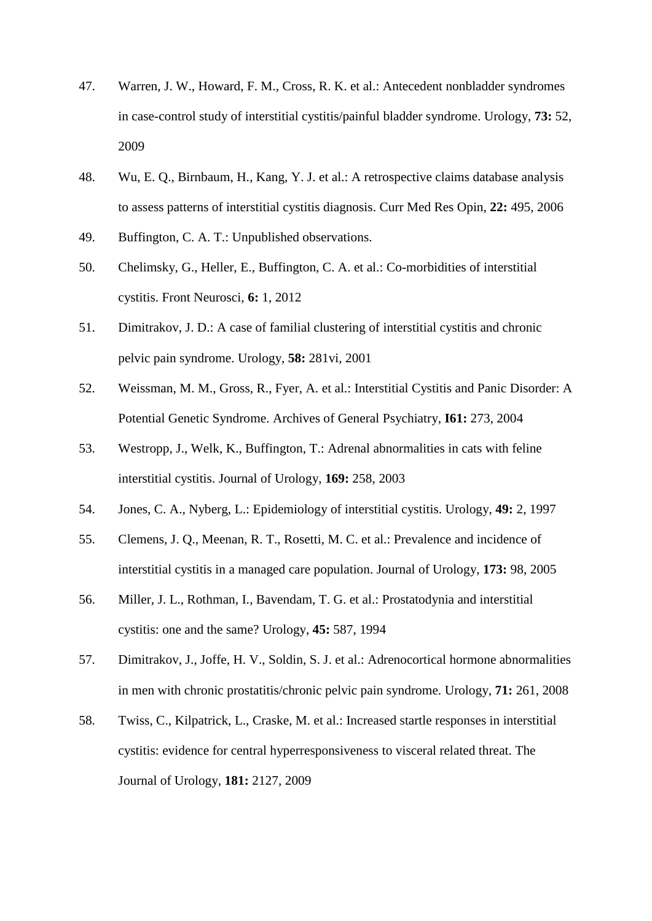- 47. Warren, J. W., Howard, F. M., Cross, R. K. et al.: Antecedent nonbladder syndromes in case-control study of interstitial cystitis/painful bladder syndrome. Urology, **73:** 52, 2009
- 48. Wu, E. Q., Birnbaum, H., Kang, Y. J. et al.: A retrospective claims database analysis to assess patterns of interstitial cystitis diagnosis. Curr Med Res Opin, **22:** 495, 2006
- 49. Buffington, C. A. T.: Unpublished observations.
- 50. Chelimsky, G., Heller, E., Buffington, C. A. et al.: Co-morbidities of interstitial cystitis. Front Neurosci, **6:** 1, 2012
- 51. Dimitrakov, J. D.: A case of familial clustering of interstitial cystitis and chronic pelvic pain syndrome. Urology, **58:** 281vi, 2001
- 52. Weissman, M. M., Gross, R., Fyer, A. et al.: Interstitial Cystitis and Panic Disorder: A Potential Genetic Syndrome. Archives of General Psychiatry, **I61:** 273, 2004
- 53. Westropp, J., Welk, K., Buffington, T.: Adrenal abnormalities in cats with feline interstitial cystitis. Journal of Urology, **169:** 258, 2003
- 54. Jones, C. A., Nyberg, L.: Epidemiology of interstitial cystitis. Urology, **49:** 2, 1997
- 55. Clemens, J. Q., Meenan, R. T., Rosetti, M. C. et al.: Prevalence and incidence of interstitial cystitis in a managed care population. Journal of Urology, **173:** 98, 2005
- 56. Miller, J. L., Rothman, I., Bavendam, T. G. et al.: Prostatodynia and interstitial cystitis: one and the same? Urology, **45:** 587, 1994
- 57. Dimitrakov, J., Joffe, H. V., Soldin, S. J. et al.: Adrenocortical hormone abnormalities in men with chronic prostatitis/chronic pelvic pain syndrome. Urology, **71:** 261, 2008
- 58. Twiss, C., Kilpatrick, L., Craske, M. et al.: Increased startle responses in interstitial cystitis: evidence for central hyperresponsiveness to visceral related threat. The Journal of Urology, **181:** 2127, 2009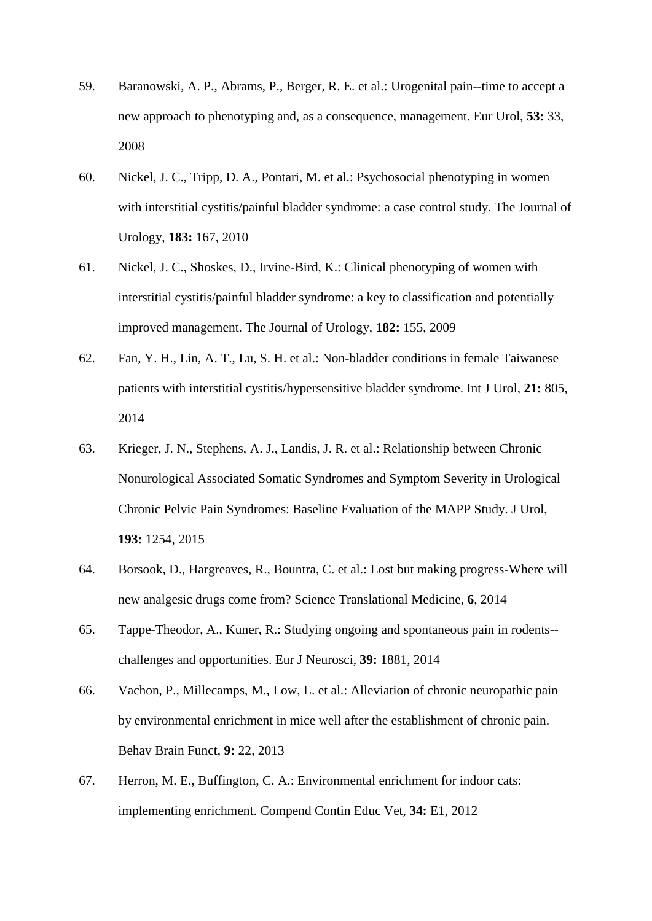- 59. Baranowski, A. P., Abrams, P., Berger, R. E. et al.: Urogenital pain--time to accept a new approach to phenotyping and, as a consequence, management. Eur Urol, **53:** 33, 2008
- 60. Nickel, J. C., Tripp, D. A., Pontari, M. et al.: Psychosocial phenotyping in women with interstitial cystitis/painful bladder syndrome: a case control study. The Journal of Urology, **183:** 167, 2010
- 61. Nickel, J. C., Shoskes, D., Irvine-Bird, K.: Clinical phenotyping of women with interstitial cystitis/painful bladder syndrome: a key to classification and potentially improved management. The Journal of Urology, **182:** 155, 2009
- 62. Fan, Y. H., Lin, A. T., Lu, S. H. et al.: Non-bladder conditions in female Taiwanese patients with interstitial cystitis/hypersensitive bladder syndrome. Int J Urol, **21:** 805, 2014
- 63. Krieger, J. N., Stephens, A. J., Landis, J. R. et al.: Relationship between Chronic Nonurological Associated Somatic Syndromes and Symptom Severity in Urological Chronic Pelvic Pain Syndromes: Baseline Evaluation of the MAPP Study. J Urol, **193:** 1254, 2015
- 64. Borsook, D., Hargreaves, R., Bountra, C. et al.: Lost but making progress-Where will new analgesic drugs come from? Science Translational Medicine, **6**, 2014
- 65. Tappe-Theodor, A., Kuner, R.: Studying ongoing and spontaneous pain in rodents- challenges and opportunities. Eur J Neurosci, **39:** 1881, 2014
- 66. Vachon, P., Millecamps, M., Low, L. et al.: Alleviation of chronic neuropathic pain by environmental enrichment in mice well after the establishment of chronic pain. Behav Brain Funct, **9:** 22, 2013
- 67. Herron, M. E., Buffington, C. A.: Environmental enrichment for indoor cats: implementing enrichment. Compend Contin Educ Vet, **34:** E1, 2012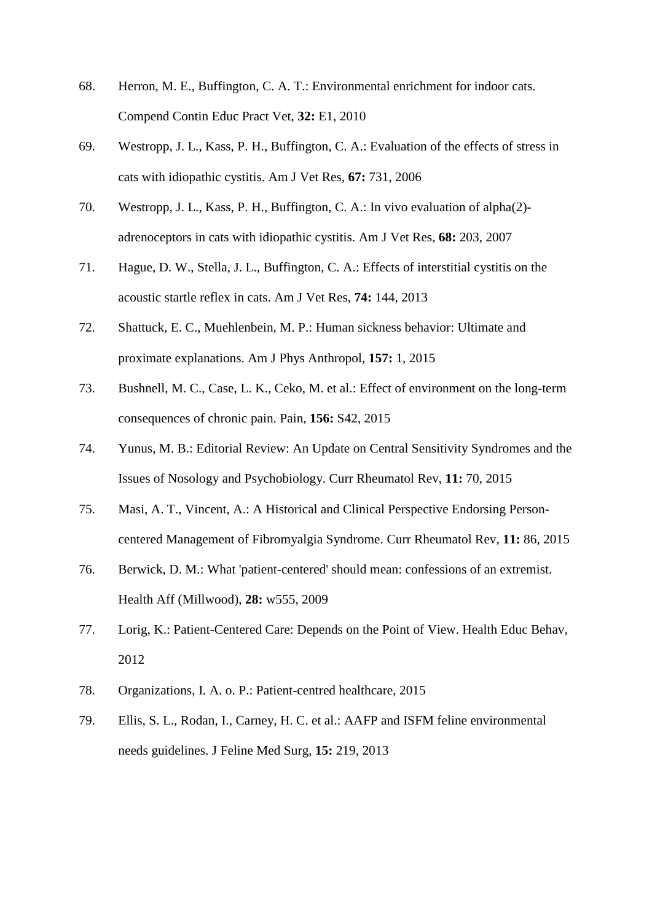- 68. Herron, M. E., Buffington, C. A. T.: Environmental enrichment for indoor cats. Compend Contin Educ Pract Vet, **32:** E1, 2010
- 69. Westropp, J. L., Kass, P. H., Buffington, C. A.: Evaluation of the effects of stress in cats with idiopathic cystitis. Am J Vet Res, **67:** 731, 2006
- 70. Westropp, J. L., Kass, P. H., Buffington, C. A.: In vivo evaluation of alpha(2) adrenoceptors in cats with idiopathic cystitis. Am J Vet Res, **68:** 203, 2007
- 71. Hague, D. W., Stella, J. L., Buffington, C. A.: Effects of interstitial cystitis on the acoustic startle reflex in cats. Am J Vet Res, **74:** 144, 2013
- 72. Shattuck, E. C., Muehlenbein, M. P.: Human sickness behavior: Ultimate and proximate explanations. Am J Phys Anthropol, **157:** 1, 2015
- 73. Bushnell, M. C., Case, L. K., Ceko, M. et al.: Effect of environment on the long-term consequences of chronic pain. Pain, **156:** S42, 2015
- 74. Yunus, M. B.: Editorial Review: An Update on Central Sensitivity Syndromes and the Issues of Nosology and Psychobiology. Curr Rheumatol Rev, **11:** 70, 2015
- 75. Masi, A. T., Vincent, A.: A Historical and Clinical Perspective Endorsing Personcentered Management of Fibromyalgia Syndrome. Curr Rheumatol Rev, **11:** 86, 2015
- 76. Berwick, D. M.: What 'patient-centered' should mean: confessions of an extremist. Health Aff (Millwood), **28:** w555, 2009
- 77. Lorig, K.: Patient-Centered Care: Depends on the Point of View. Health Educ Behav, 2012
- 78. Organizations, I. A. o. P.: Patient-centred healthcare, 2015
- 79. Ellis, S. L., Rodan, I., Carney, H. C. et al.: AAFP and ISFM feline environmental needs guidelines. J Feline Med Surg, **15:** 219, 2013